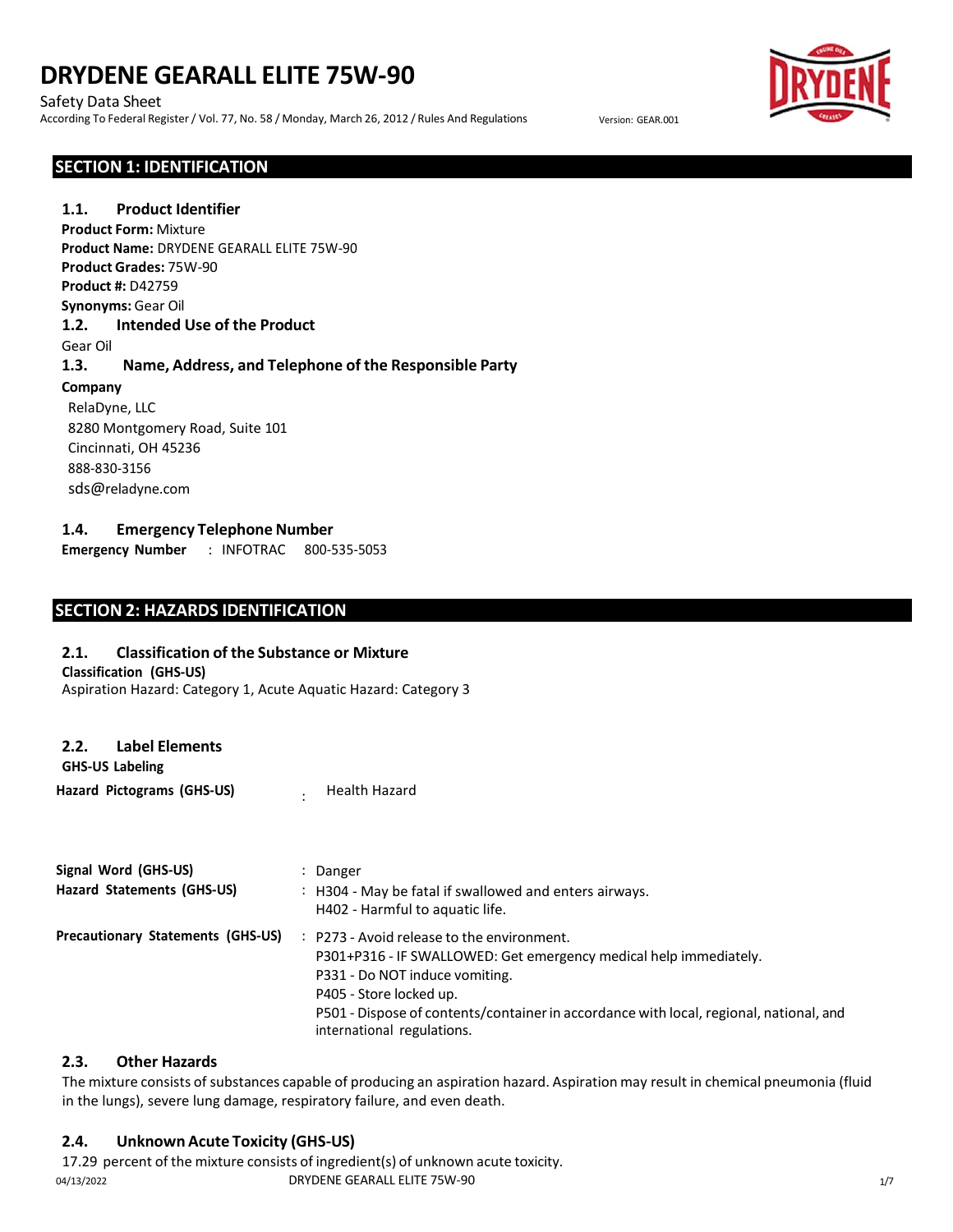Safety Data Sheet According To Federal Register / Vol. 77, No. 58 / Monday, March 26, 2012 / Rules And Regulations Version: GEAR.001



### **SECTION 1: IDENTIFICATION**

**1.1. Product Identifier 1.2. Intended Use of the Product** Gear Oil **1.3. Name, Address, and Telephone of the Responsible Party Company** RelaDyne, LLC 8280 Montgomery Road, Suite 101 Cincinnati, OH 45236 888-830-3156 sds@reladyne.com **Product Form:** Mixture **Product Name:** DRYDENE GEARALL ELITE 75W-90 **Product Grades:** 75W-90 **Product #:** D42759 **Synonyms:** Gear Oil

### **1.4. Emergency Telephone Number**

**Emergency Number** : INFOTRAC 800-535-5053

# **SECTION 2: HAZARDS IDENTIFICATION**

#### **2.1. Classification of the Substance or Mixture**

Aspiration Hazard: Category 1, Acute Aquatic Hazard: Category 3

**Classification (GHS-US)**

| <b>GHS-US Labeling</b>     |                      |
|----------------------------|----------------------|
| Hazard Pictograms (GHS-US) | <b>Health Hazard</b> |

| Signal Word (GHS-US)              | Danger                                                                                                                                                                                  |
|-----------------------------------|-----------------------------------------------------------------------------------------------------------------------------------------------------------------------------------------|
| Hazard Statements (GHS-US)        | : H304 - May be fatal if swallowed and enters airways.<br>H402 - Harmful to aquatic life.                                                                                               |
| Precautionary Statements (GHS-US) | $\therefore$ P273 - Avoid release to the environment.<br>P301+P316 - IF SWALLOWED: Get emergency medical help immediately.<br>P331 - Do NOT induce vomiting.<br>P405 - Store locked up. |
|                                   | P501 - Dispose of contents/container in accordance with local, regional, national, and<br>international regulations.                                                                    |

# **2.3. Other Hazards**

The mixture consists of substances capable of producing an aspiration hazard. Aspiration may result in chemical pneumonia (fluid in the lungs), severe lung damage, respiratory failure, and even death.

# **2.4. Unknown Acute Toxicity (GHS-US)**

17.29 percent of the mixture consists of ingredient(s) of unknown acute toxicity. 04/13/2022 DRYDENE GEARALL ELITE 75W-90 1/7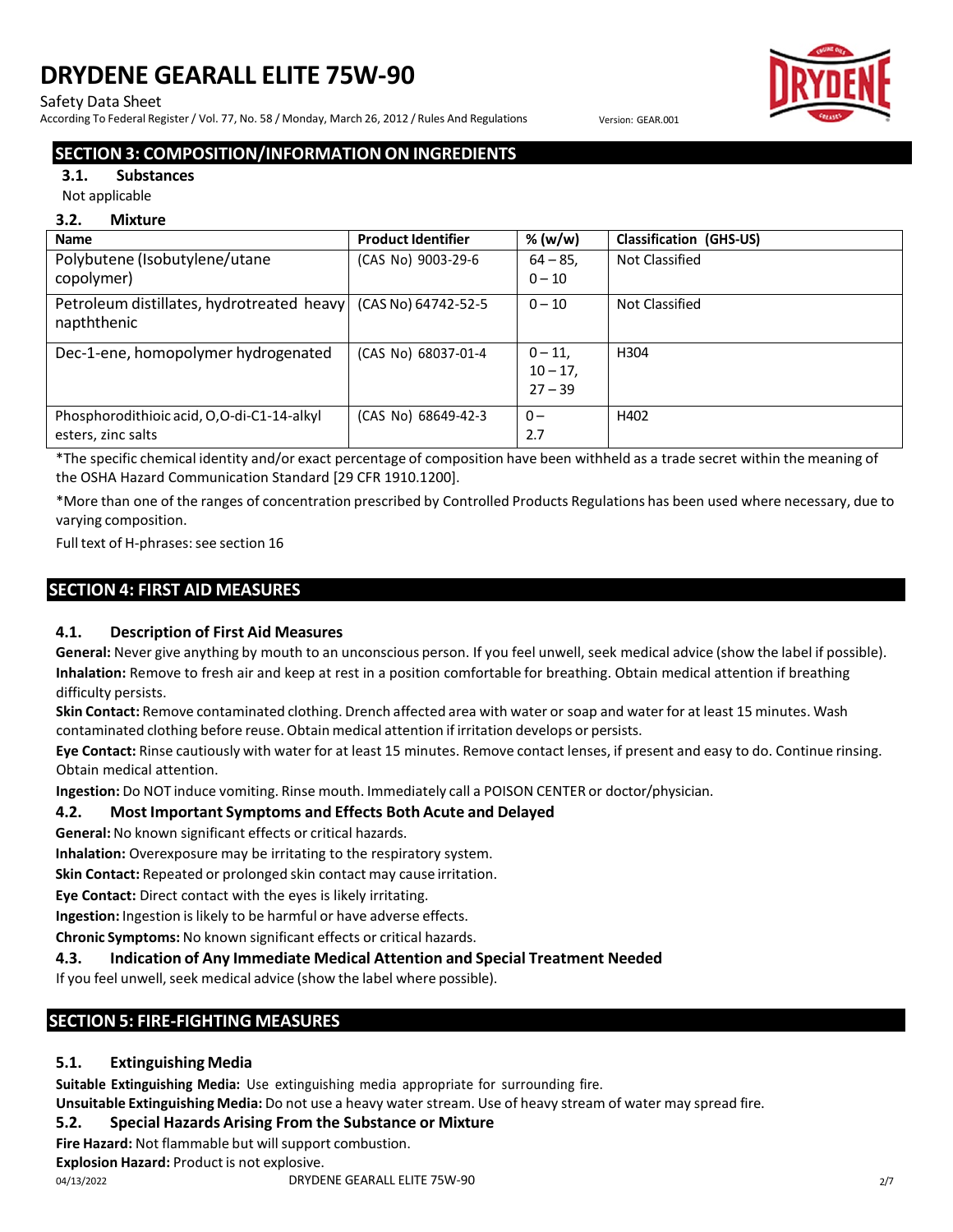#### Safety Data Sheet

According To Federal Register / Vol. 77, No. 58 / Monday, March 26, 2012 / Rules And Regulations Version: GEAR.001



# **SECTION 3: COMPOSITION/INFORMATION ON INGREDIENTS**

#### **3.1. Substances**

Not applicable

#### **3.2. Mixture**

| <b>Name</b>                                                                    | <b>Product Identifier</b> | % (w/w)                | <b>Classification (GHS-US)</b> |
|--------------------------------------------------------------------------------|---------------------------|------------------------|--------------------------------|
| Polybutene (Isobutylene/utane                                                  | (CAS No) 9003-29-6        | $64 - 85$              | Not Classified                 |
| copolymer)                                                                     |                           | $0 - 10$               |                                |
| Petroleum distillates, hydrotreated heavy   (CAS No) 64742-52-5<br>napththenic |                           | $0 - 10$               | Not Classified                 |
| Dec-1-ene, homopolymer hydrogenated                                            | (CAS No) 68037-01-4       | $0 - 11.$<br>$10 - 17$ | H <sub>304</sub>               |
|                                                                                |                           | $27 - 39$              |                                |
| Phosphorodithioic acid, O,O-di-C1-14-alkyl                                     | (CAS No) 68649-42-3       | $0 -$                  | H402                           |
| esters, zinc salts                                                             |                           | 2.7                    |                                |

\*The specific chemical identity and/or exact percentage of composition have been withheld as a trade secret within the meaning of the OSHA Hazard Communication Standard [29 CFR 1910.1200].

\*More than one of the ranges of concentration prescribed by Controlled Products Regulations has been used where necessary, due to varying composition.

Full text of H-phrases: see section 16

# **SECTION 4: FIRST AID MEASURES**

# **4.1. Description of First Aid Measures**

**General:** Never give anything by mouth to an unconscious person. If you feel unwell, seek medical advice (show the label if possible). **Inhalation:** Remove to fresh air and keep at rest in a position comfortable for breathing. Obtain medical attention if breathing difficulty persists.

**Skin Contact:** Remove contaminated clothing. Drench affected area with water or soap and water for at least 15 minutes. Wash contaminated clothing before reuse. Obtain medical attention if irritation develops or persists.

**Eye Contact:** Rinse cautiously with water for at least 15 minutes. Remove contact lenses, if present and easy to do. Continue rinsing. Obtain medical attention.

**Ingestion:** Do NOT induce vomiting. Rinse mouth. Immediately call a POISON CENTER or doctor/physician.

# **4.2. Most Important Symptoms and Effects Both Acute and Delayed**

**General:** No known significant effects or critical hazards.

**Inhalation:** Overexposure may be irritating to the respiratory system.

**Skin Contact:** Repeated or prolonged skin contact may cause irritation.

**Eye Contact:** Direct contact with the eyes is likely irritating.

**Ingestion:** Ingestion is likely to be harmful or have adverse effects.

**Chronic Symptoms:** No known significant effects or critical hazards.

#### **4.3. Indication of Any Immediate Medical Attention and Special Treatment Needed**

If you feel unwell, seek medical advice (show the label where possible).

# **SECTION 5: FIRE-FIGHTING MEASURES**

# **5.1. Extinguishing Media**

**Suitable Extinguishing Media:** Use extinguishing media appropriate for surrounding fire.

**Unsuitable Extinguishing Media:** Do not use a heavy water stream. Use of heavy stream of water may spread fire.

#### **5.2. Special Hazards Arising From the Substance or Mixture**

Fire Hazard: Not flammable but will support combustion.

**Explosion Hazard:** Product is not explosive.

04/13/2022 **DRYDENE GEARALL ELITE 75W-90 DAYS AND A 2/7**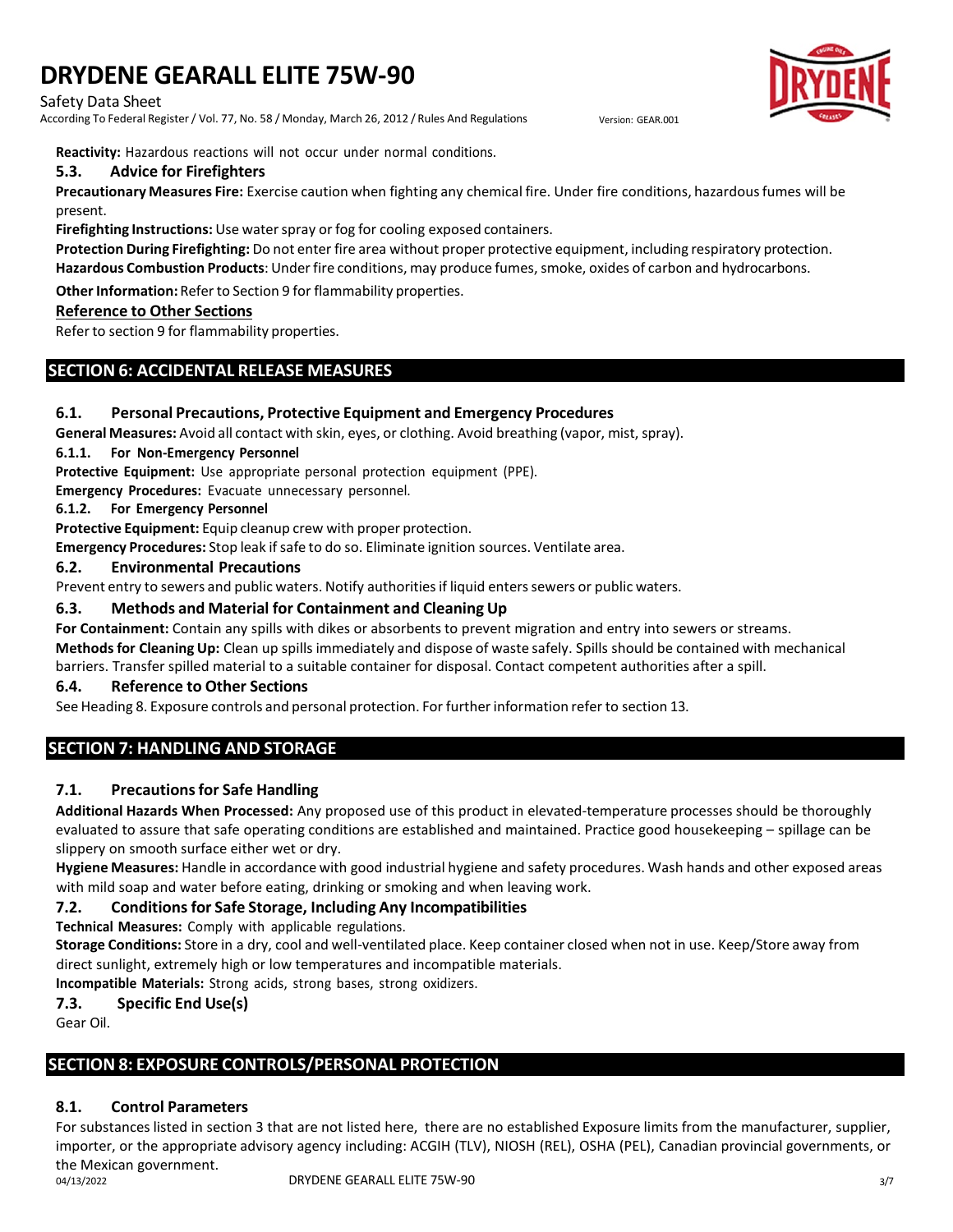Safety Data Sheet

According To Federal Register / Vol. 77, No. 58 / Monday, March 26, 2012 / Rules And Regulations Version: GEAR.001



**Reactivity:** Hazardous reactions will not occur under normal conditions.

### **5.3. Advice for Firefighters**

**Precautionary Measures Fire:** Exercise caution when fighting any chemical fire. Under fire conditions, hazardousfumes will be present.

**Firefighting Instructions:** Use waterspray or fog for cooling exposed containers.

**Protection During Firefighting:** Do not enter fire area without proper protective equipment, including respiratory protection. Hazardous Combustion Products: Under fire conditions, may produce fumes, smoke, oxides of carbon and hydrocarbons.

**Other Information:** Refer to Section 9 for flammability properties.

#### **Reference to Other Sections**

Refer to section 9 for flammability properties.

# **SECTION 6: ACCIDENTAL RELEASE MEASURES**

### **6.1. Personal Precautions, Protective Equipment and Emergency Procedures**

**General Measures:** Avoid all contact with skin, eyes, or clothing. Avoid breathing (vapor, mist, spray).

#### **6.1.1. For Non-Emergency Personnel**

**Protective Equipment:** Use appropriate personal protection equipment (PPE).

**Emergency Procedures:** Evacuate unnecessary personnel.

#### **6.1.2. For Emergency Personnel**

**Protective Equipment:** Equip cleanup crew with proper protection.

**Emergency Procedures:** Stop leak if safe to do so. Eliminate ignition sources. Ventilate area.

#### **6.2. Environmental Precautions**

Prevent entry to sewers and public waters. Notify authoritiesif liquid enterssewers or public waters.

### **6.3. Methods and Material for Containment and Cleaning Up**

**For Containment:** Contain any spills with dikes or absorbents to prevent migration and entry into sewers or streams.

**Methodsfor Cleaning Up:** Clean up spills immediately and dispose of waste safely. Spills should be contained with mechanical barriers. Transfer spilled material to a suitable container for disposal. Contact competent authorities after a spill.

#### **6.4. Reference to Other Sections**

See Heading 8. Exposure controls and personal protection. For furtherinformation refer to section 13.

# **SECTION 7: HANDLING AND STORAGE**

# **7.1. Precautionsfor Safe Handling**

**Additional Hazards When Processed:** Any proposed use of this product in elevated-temperature processes should be thoroughly evaluated to assure that safe operating conditions are established and maintained. Practice good housekeeping – spillage can be slippery on smooth surface either wet or dry.

**Hygiene Measures:** Handle in accordance with good industrial hygiene and safety procedures. Wash hands and other exposed areas with mild soap and water before eating, drinking or smoking and when leaving work.

# **7.2. Conditionsfor Safe Storage, Including Any Incompatibilities**

**Technical Measures:** Comply with applicable regulations.

**Storage Conditions:** Store in a dry, cool and well-ventilated place. Keep container closed when not in use. Keep/Store away from direct sunlight, extremely high or low temperatures and incompatible materials.

**Incompatible Materials:** Strong acids, strong bases, strong oxidizers.

# **7.3. Specific End Use(s)**

Gear Oil.

# **SECTION 8: EXPOSURE CONTROLS/PERSONAL PROTECTION**

# **8.1. Control Parameters**

For substances listed in section 3 that are not listed here, there are no established Exposure limits from the manufacturer, supplier, importer, or the appropriate advisory agency including: ACGIH (TLV), NIOSH (REL), OSHA (PEL), Canadian provincial governments, or the Mexican government. 04/13/2022 DRYDENE GEARALL ELITE 75W-90 3/7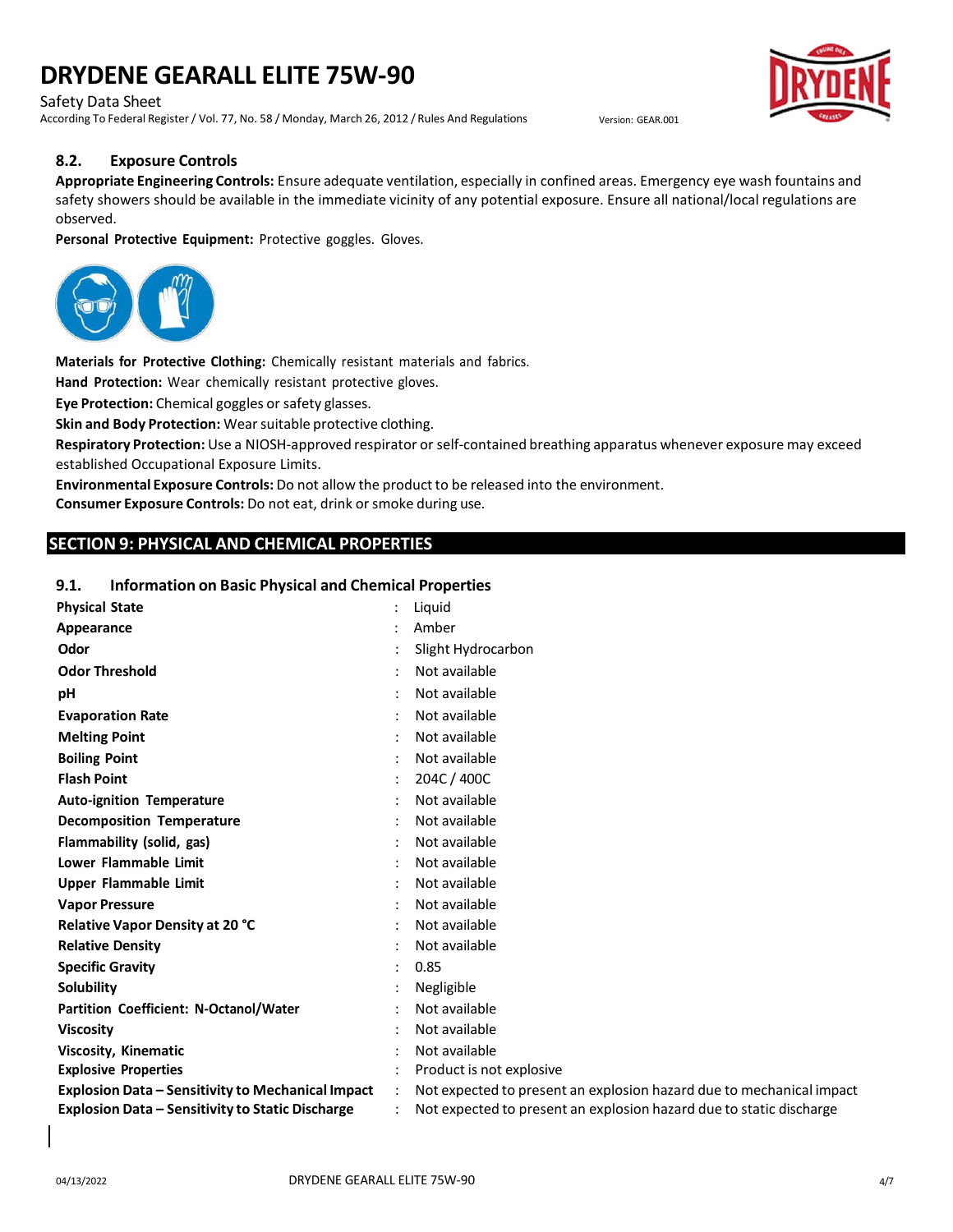Safety Data Sheet

According To Federal Register / Vol. 77, No. 58 / Monday, March 26, 2012 / Rules And Regulations Version: GEAR.001



#### **8.2. Exposure Controls**

**Appropriate Engineering Controls:** Ensure adequate ventilation, especially in confined areas. Emergency eye wash fountains and safety showers should be available in the immediate vicinity of any potential exposure. Ensure all national/local regulations are observed.

**Personal Protective Equipment:** Protective goggles. Gloves.



**Materials for Protective Clothing:** Chemically resistant materials and fabrics.

**Hand Protection:** Wear chemically resistant protective gloves.

**Eye Protection:** Chemical goggles or safety glasses.

**Skin and Body Protection:** Wearsuitable protective clothing.

**Respiratory Protection:** Use a NIOSH-approved respirator or self-contained breathing apparatus whenever exposure may exceed established Occupational Exposure Limits.

**Environmental Exposure Controls:** Do not allow the product to be released into the environment. **Consumer Exposure Controls:** Do not eat, drink orsmoke during use.

# **SECTION 9: PHYSICAL AND CHEMICAL PROPERTIES**

#### **9.1. Information on Basic Physical and Chemical Properties**

| <b>Physical State</b>                                    | Liquid                                                               |
|----------------------------------------------------------|----------------------------------------------------------------------|
| Appearance                                               | Amber                                                                |
| Odor                                                     | Slight Hydrocarbon                                                   |
| <b>Odor Threshold</b>                                    | Not available                                                        |
| pH                                                       | Not available                                                        |
| <b>Evaporation Rate</b>                                  | Not available                                                        |
| <b>Melting Point</b>                                     | Not available                                                        |
| <b>Boiling Point</b>                                     | Not available                                                        |
| <b>Flash Point</b>                                       | 204C / 400C                                                          |
| <b>Auto-ignition Temperature</b>                         | Not available                                                        |
| <b>Decomposition Temperature</b>                         | Not available                                                        |
| Flammability (solid, gas)                                | Not available                                                        |
| Lower Flammable Limit                                    | Not available                                                        |
| <b>Upper Flammable Limit</b>                             | Not available                                                        |
| <b>Vapor Pressure</b>                                    | Not available                                                        |
| Relative Vapor Density at 20 °C                          | Not available                                                        |
| <b>Relative Density</b>                                  | Not available                                                        |
| <b>Specific Gravity</b>                                  | 0.85                                                                 |
| <b>Solubility</b>                                        | Negligible                                                           |
| Partition Coefficient: N-Octanol/Water                   | Not available                                                        |
| <b>Viscosity</b>                                         | Not available                                                        |
| <b>Viscosity, Kinematic</b>                              | Not available                                                        |
| <b>Explosive Properties</b>                              | Product is not explosive                                             |
| <b>Explosion Data - Sensitivity to Mechanical Impact</b> | Not expected to present an explosion hazard due to mechanical impact |
| <b>Explosion Data - Sensitivity to Static Discharge</b>  | Not expected to present an explosion hazard due to static discharge  |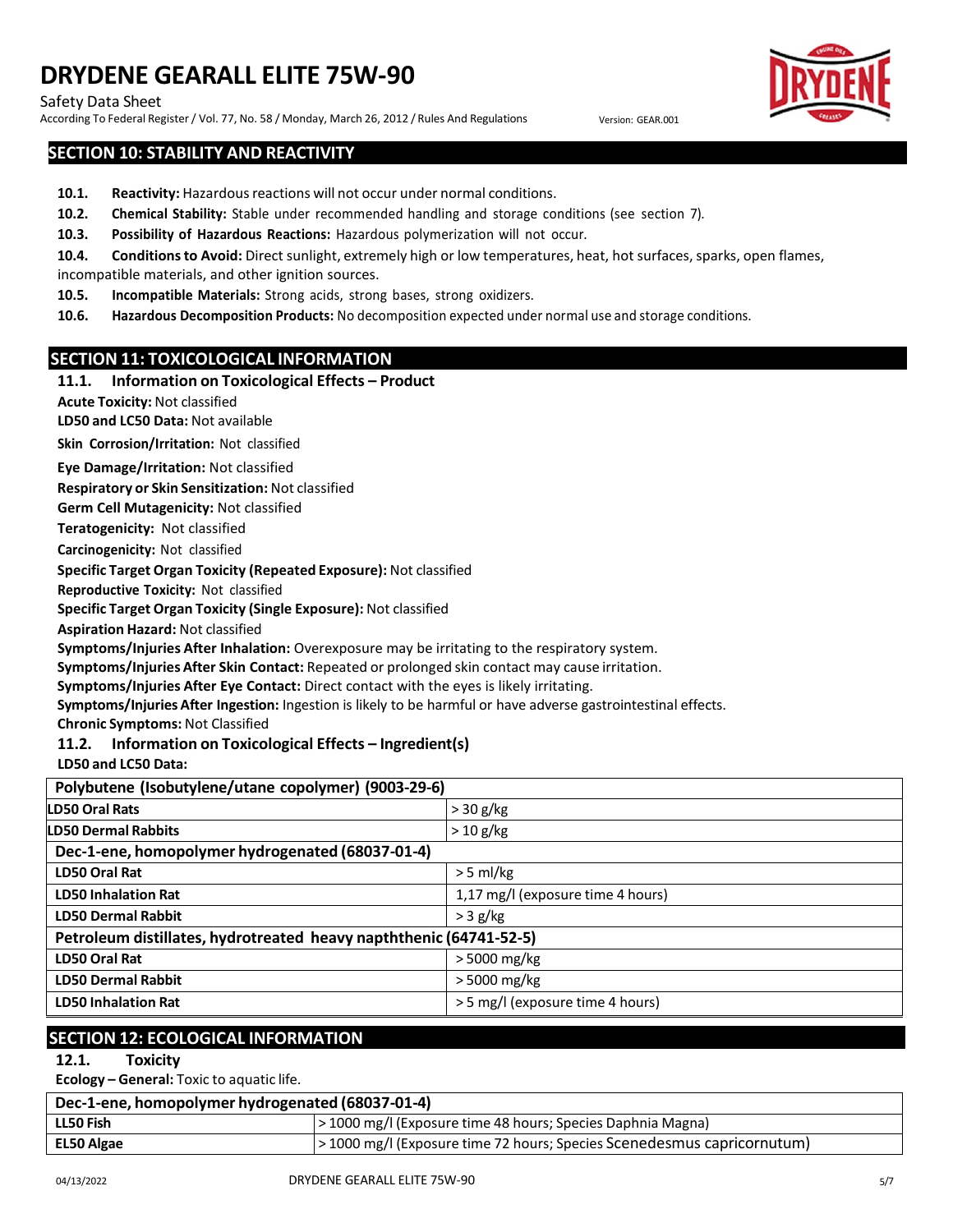Safety Data Sheet

According To Federal Register / Vol. 77, No. 58 / Monday, March 26, 2012 / Rules And Regulations Version: GEAR.001

# **SECTION 10: STABILITY AND REACTIVITY**

- **10.1.** Reactivity: Hazardous reactions will not occur under normal conditions.
- **10.2. Chemical Stability:** Stable under recommended handling and storage conditions (see section 7).
- **10.3. Possibility of Hazardous Reactions:** Hazardous polymerization will not occur.
- 10.4. Conditions to Avoid: Direct sunlight, extremely high or low temperatures, heat, hot surfaces, sparks, open flames,
- incompatible materials, and other ignition sources.
- **10.5. Incompatible Materials:** Strong acids, strong bases, strong oxidizers.
- **10.6. Hazardous Decomposition Products:** No decomposition expected under normal use and storage conditions.

### **SECTION 11: TOXICOLOGICAL INFORMATION**

#### **11.1. Information on Toxicological Effects – Product**

**Acute Toxicity:** Not classified

**LD50 and LC50 Data:** Not available

**Skin Corrosion/Irritation:** Not classified

**Eye Damage/Irritation:** Not classified

**Respiratory or Skin Sensitization:** Not classified

**Germ Cell Mutagenicity:** Not classified

**Teratogenicity:** Not classified

**Carcinogenicity:** Not classified

**Specific Target Organ Toxicity (Repeated Exposure):** Not classified

**Reproductive Toxicity:** Not classified

**Specific Target Organ Toxicity (Single Exposure):** Not classified

**Aspiration Hazard:** Not classified

**Symptoms/Injuries After Inhalation:** Overexposure may be irritating to the respiratory system.

**Symptoms/Injuries After Skin Contact:** Repeated or prolonged skin contact may cause irritation.

**Symptoms/Injuries After Eye Contact:** Direct contact with the eyes is likely irritating.

**Symptoms/Injuries After Ingestion:** Ingestion is likely to be harmful or have adverse gastrointestinal effects.

**Chronic Symptoms:** Not Classified

**11.2. Information on Toxicological Effects – Ingredient(s)**

**LD50 and LC50 Data:**

| Polybutene (Isobutylene/utane copolymer) (9003-29-6)               |                                   |  |
|--------------------------------------------------------------------|-----------------------------------|--|
| <b>LD50 Oral Rats</b>                                              | $>$ 30 g/kg                       |  |
| <b>LD50 Dermal Rabbits</b>                                         | $>$ 10 g/kg                       |  |
| Dec-1-ene, homopolymer hydrogenated (68037-01-4)                   |                                   |  |
| <b>LD50 Oral Rat</b>                                               | $>$ 5 ml/kg                       |  |
| <b>LD50 Inhalation Rat</b>                                         | 1,17 mg/l (exposure time 4 hours) |  |
| <b>LD50 Dermal Rabbit</b>                                          | $>$ 3 g/kg                        |  |
| Petroleum distillates, hydrotreated heavy napththenic (64741-52-5) |                                   |  |
| <b>LD50 Oral Rat</b>                                               | > 5000 mg/kg                      |  |
| <b>LD50 Dermal Rabbit</b>                                          | > 5000 mg/kg                      |  |
| <b>LD50 Inhalation Rat</b>                                         | > 5 mg/l (exposure time 4 hours)  |  |

# **SECTION 12: ECOLOGICAL INFORMATION**

**12.1. Toxicity**

**Ecology – General:** Toxic to aquatic life.

| Dec-1-ene, homopolymer hydrogenated (68037-01-4) |                                                                         |  |
|--------------------------------------------------|-------------------------------------------------------------------------|--|
| LL50 Fish                                        | > 1000 mg/l (Exposure time 48 hours; Species Daphnia Magna)             |  |
| EL50 Algae                                       | > 1000 mg/l (Exposure time 72 hours; Species Scenedesmus capricornutum) |  |

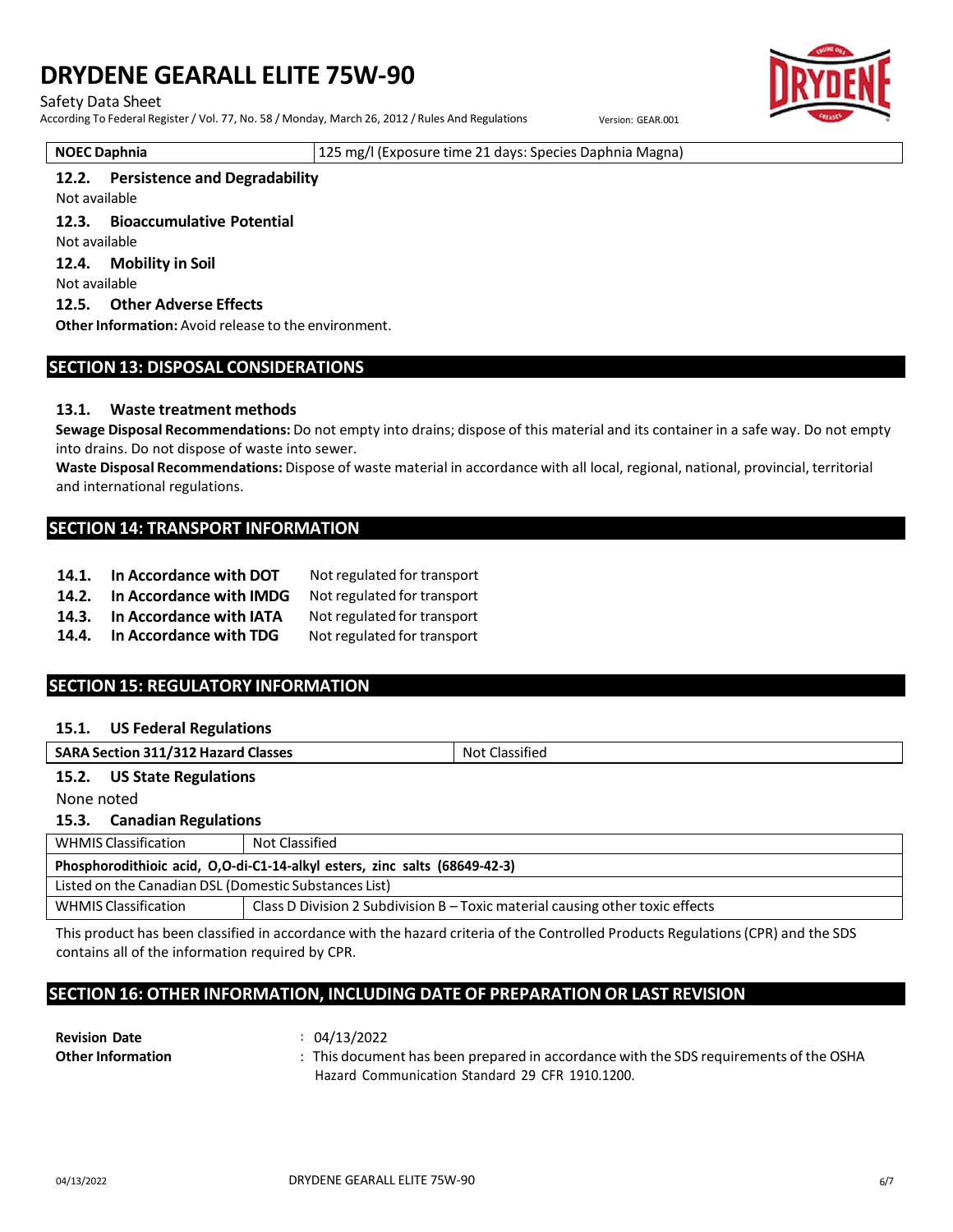#### Safety Data Sheet

According To Federal Register / Vol. 77, No. 58 / Monday, March 26, 2012 / Rules And Regulations Version: GEAR.001

**NOEC Daphnia** 125 mg/l (Exposure time 21 days: Species Daphnia Magna)

#### **12.2. Persistence and Degradability**

Not available

**12.3. Bioaccumulative Potential**

Not available

**12.4. Mobility in Soil**

Not available

#### **12.5. Other Adverse Effects**

**Other Information:** Avoid release to the environment.

# **SECTION 13: DISPOSAL CONSIDERATIONS**

#### **13.1. Waste treatment methods**

**Sewage Disposal Recommendations:** Do not empty into drains; dispose of this material and its container in a safe way. Do not empty into drains. Do not dispose of waste into sewer.

**Waste Disposal Recommendations:** Dispose of waste material in accordance with all local, regional, national, provincial, territorial and international regulations.

### **SECTION 14: TRANSPORT INFORMATION**

- **14.1. In Accordance with DOT** Not regulated for transport
- **14.2. In Accordance with IMDG** Not regulated for transport
- **14.3. In Accordance with IATA** Not regulated for transport
- **14.4. In Accordance with TDG** Not regulated for transport

# **SECTION 15: REGULATORY INFORMATION**

#### **15.1. US Federal Regulations**

| <b>SARA Section 311/312 Hazard Classes</b> | Not Classified |
|--------------------------------------------|----------------|
| 15.2.<br><b>US State Regulations</b>       |                |
| None noted                                 |                |

**15.3. Canadian Regulations**

| <b>WHMIS Classification</b>                                                | Not Classified                                                                |  |
|----------------------------------------------------------------------------|-------------------------------------------------------------------------------|--|
| Phosphorodithioic acid, O,O-di-C1-14-alkyl esters, zinc salts (68649-42-3) |                                                                               |  |
| Listed on the Canadian DSL (Domestic Substances List)                      |                                                                               |  |
| <b>WHMIS Classification</b>                                                | Class D Division 2 Subdivision B – Toxic material causing other toxic effects |  |

This product has been classified in accordance with the hazard criteria of the Controlled Products Regulations(CPR) and the SDS contains all of the information required by CPR.

# **SECTION 16: OTHER INFORMATION, INCLUDING DATE OF PREPARATION OR LAST REVISION**

| <b>Revision Date</b>     | 04/13/2022                                                                            |
|--------------------------|---------------------------------------------------------------------------------------|
| <b>Other Information</b> | : This document has been prepared in accordance with the SDS requirements of the OSHA |
|                          | Hazard Communication Standard 29 CFR 1910.1200.                                       |